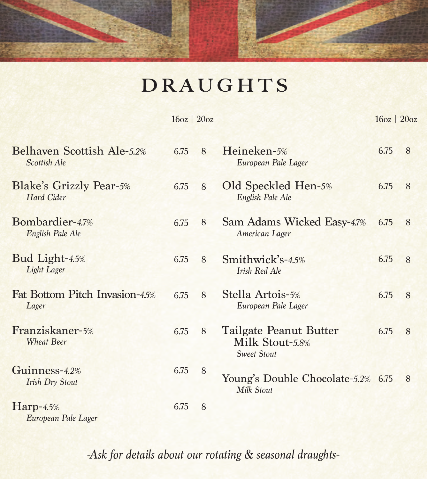## **DRAUGHTS**

|                                              | $16oz$   $20oz$ |   |                                                                 | $16oz$   $20oz$ |   |
|----------------------------------------------|-----------------|---|-----------------------------------------------------------------|-----------------|---|
| Belhaven Scottish Ale-5.2%<br>Scottish Ale   | 6.75            | 8 | Heineken-5%<br>European Pale Lager                              | 6.75            | 8 |
| <b>Blake's Grizzly Pear-5%</b><br>Hard Cider | 6.75            | 8 | Old Speckled Hen-5%<br>English Pale Ale                         | 6.75            | 8 |
| Bombardier-4.7%<br>English Pale Ale          | 6.75            | 8 | Sam Adams Wicked Easy-4.7%<br>American Lager                    | 6.75            | 8 |
| Bud Light-4.5%<br>Light Lager                | 6.75            | 8 | Smithwick's-4.5%<br><b>Irish Red Ale</b>                        | 6.75            | 8 |
| Fat Bottom Pitch Invasion-45%<br>Lager       | 6.75            | 8 | Stella Artois-5%<br>European Pale Lager                         | 6.75            | 8 |
| Franziskaner-5%<br><b>Wheat Beer</b>         | 6.75            | 8 | Tailgate Peanut Butter<br>Milk Stout-5.8%<br><b>Sweet Stout</b> | 6.75            | 8 |
| Guinness-4.2%<br><b>Irish Dry Stout</b>      | 6.75            | 8 | Young's Double Chocolate-5.2% 6.75<br>Milk Stout                |                 | 8 |
| $Harp-4.5%$<br>European Pale Lager           | 6.75            | 8 |                                                                 |                 |   |

*-Ask for details about our rotating & seasonal draughts-*